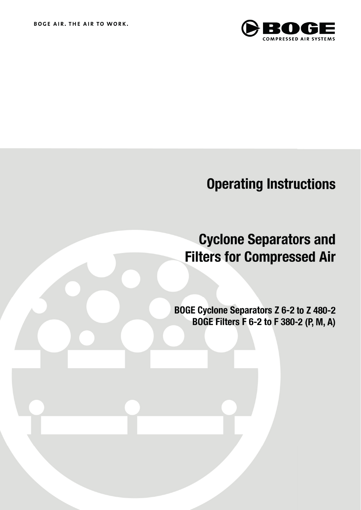

# **Operating Instructions**

# **Cyclone Separators and Filters for Compressed Air**

BOGE Cyclone Separators Z 6-2 to Z 480-2 BOGE Filters F 6-2 to F 380-2 (P, M, A)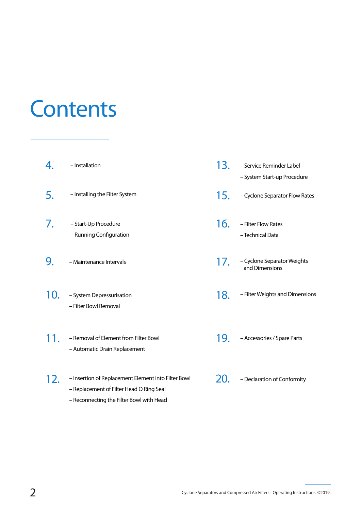# **Contents**

|     | - Installation                                                                                                                              | 13. | - Service Reminder Label<br>- System Start-up Procedure |
|-----|---------------------------------------------------------------------------------------------------------------------------------------------|-----|---------------------------------------------------------|
| 5.  | - Installing the Filter System                                                                                                              | 15. | - Cyclone Separator Flow Rates                          |
| 7.  | - Start-Up Procedure<br>- Running Configuration                                                                                             | 16. | - Filter Flow Rates<br>- Technical Data                 |
| 9.  | - Maintenance Intervals                                                                                                                     | 17. | - Cyclone Separator Weights<br>and Dimensions           |
| 10. | - System Depressurisation<br>- Filter Bowl Removal                                                                                          | 18. | - Filter Weights and Dimensions                         |
|     | - Removal of Element from Filter Bowl<br>- Automatic Drain Replacement                                                                      | 19. | - Accessories / Spare Parts                             |
| 12. | - Insertion of Replacement Element into Filter Bowl<br>- Replacement of Filter Head O Ring Seal<br>- Reconnecting the Filter Bowl with Head | 20. | - Declaration of Conformity                             |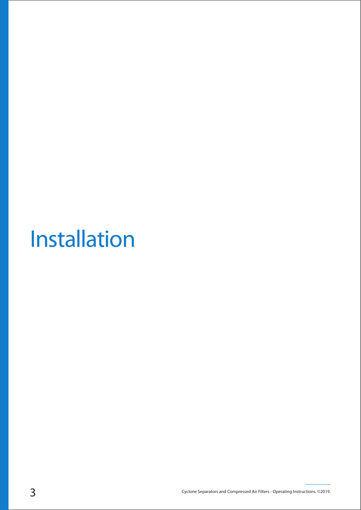# Installation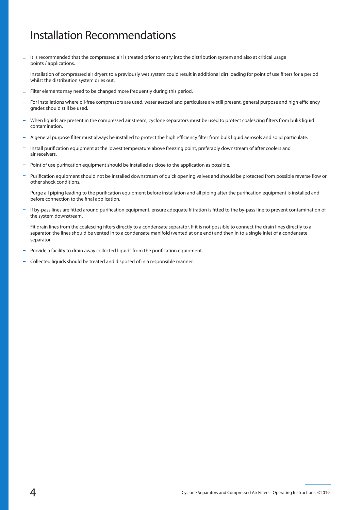### Installation Recommendations

- It is recommended that the compressed air is treated prior to entry into the distribution system and also at critical usage points / applications.
- Installation of compressed air dryers to a previously wet system could result in additional dirt loading for point of use filters for a period whilst the distribution system dries out.
- Filter elements may need to be changed more frequently during this period.
- For installations where oil-free compressors are used, water aerosol and particulate are still present, general purpose and high efficiency grades should still be used.
- When liquids are present in the compressed air stream, cyclone separators must be used to protect coalescing filters from bulik liquid contamination.
- A general purpose filter must always be installed to protect the high efficiency filter from bulk liquid aerosols and solid particulate.
- Install purification equipment at the lowest temperature above freezing point, preferably downstream of after coolers and air receivers.
- Point of use purification equipment should be installed as close to the application as possible.
- Purification equipment should not be installed downstream of quick opening valves and should be protected from possible reverse flow or other shock conditions.
- Purge all piping leading to the purification equipment before installation and all piping after the purification equipment is installed and before connection to the final application.
- If by-pass lines are fitted around purification equipment, ensure adequate filtration is fitted to the by-pass line to prevent contamination of the system downstream.
- Fit drain lines from the coalescing filters directly to a condensate separator. If it is not possible to connect the drain lines directly to a separator, the lines should be vented in to a condensate manifold (vented at one end) and then in to a single inlet of a condensate separator.
- Provide a facility to drain away collected liquids from the purification equipment.
- Collected liquids should be treated and disposed of in a responsible manner.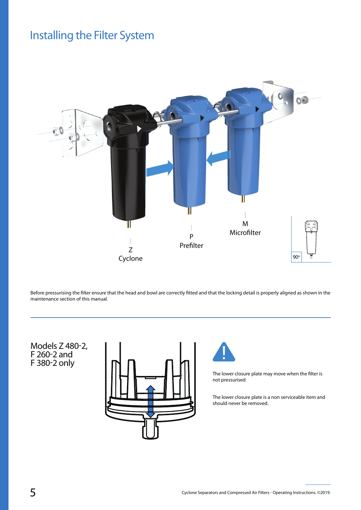## Installing the Filter System



Before pressurising the filter ensure that the head and bowl are correctly fitted and that the locking detail is properly aligned as shown in the maintenance section of this manual.

Models Z 480-2, F 260-2 and F 380-2 only





The lower closure plate may move when the filter is not pressurised

The lower closure plate is a non serviceable item and should never be removed.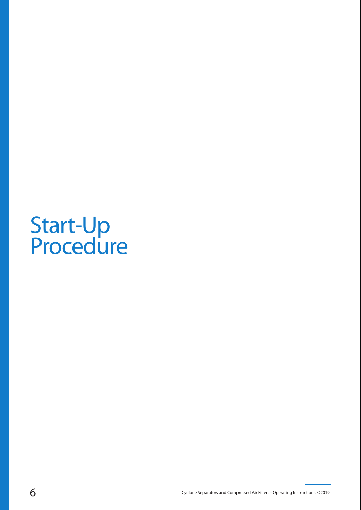# Start-Up **Procedure**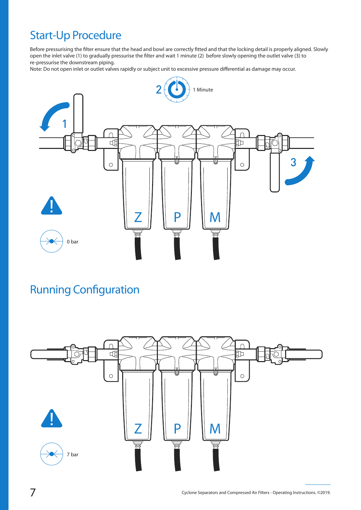# Start-Up Procedure

Before pressurising the filter ensure that the head and bowl are correctly fitted and that the locking detail is properly aligned. Slowly open the inlet valve (1) to gradually pressurise the filter and wait 1 minute (2) before slowly opening the outlet valve (3) to re-pressurise the downstream piping.

Note: Do not open inlet or outlet valves rapidly or subject unit to excessive pressure differential as damage may occur.



## **Running Configuration**

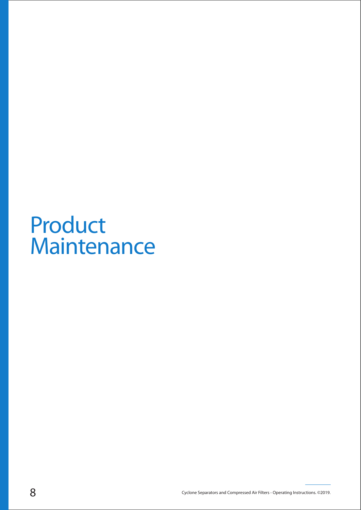# Product **Maintenance**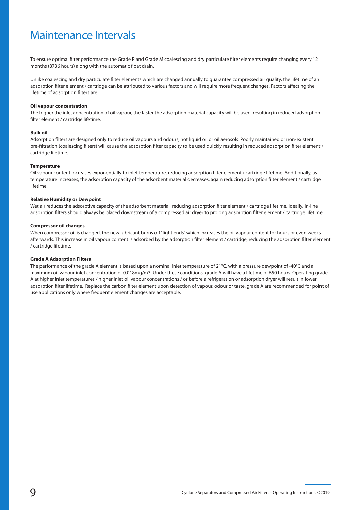### Maintenance Intervals

To ensure optimal filter performance the Grade P and Grade M coalescing and dry particulate filter elements require changing every 12 months (8736 hours) along with the automatic float drain.

Unlike coalescing and dry particulate filter elements which are changed annually to guarantee compressed air quality, the lifetime of an adsorption filter element / cartridge can be attributed to various factors and will require more frequent changes. Factors affecting the lifetime of adsorption filters are:

#### **Oil vapour concentration**

The higher the inlet concentration of oil vapour, the faster the adsorption material capacity will be used, resulting in reduced adsorption filter element / cartridge lifetime.

#### **Bulk oil**

Adsorption filters are designed only to reduce oil vapours and odours, not liquid oil or oil aerosols. Poorly maintained or non-existent pre-filtration (coalescing filters) will cause the adsorption filter capacity to be used quickly resulting in reduced adsorption filter element / cartridge lifetime.

#### **Temperature**

Oil vapour content increases exponentially to inlet temperature, reducing adsorption filter element / cartridge lifetime. Additionally, as temperature increases, the adsorption capacity of the adsorbent material decreases, again reducing adsorption filter element / cartridge lifetime.

#### **Relative Humidity or Dewpoint**

Wet air reduces the adsorptive capacity of the adsorbent material, reducing adsorption filter element / cartridge lifetime. Ideally, in-line adsorption filters should always be placed downstream of a compressed air dryer to prolong adsorption filter element / cartridge lifetime.

#### **Compressor oil changes**

When compressor oil is changed, the new lubricant burns off "light ends" which increases the oil vapour content for hours or even weeks afterwards. This increase in oil vapour content is adsorbed by the adsorption filter element / cartridge, reducing the adsorption filter element / cartridge lifetime.

#### **Grade A Adsorption Filters**

The performance of the grade A element is based upon a nominal inlet temperature of 21°C, with a pressure dewpoint of -40°C and a maximum oil vapour inlet concentration of 0.018mg/m3. Under these conditions, grade A will have a lifetime of 650 hours. Operating grade A at higher inlet temperatures / higher inlet oil vapour concentrations / or before a refrigeration or adsorption dryer will result in lower adsorption filter lifetime. Replace the carbon filter element upon detection of vapour, odour or taste. grade A are recommended for point of use applications only where frequent element changes are acceptable.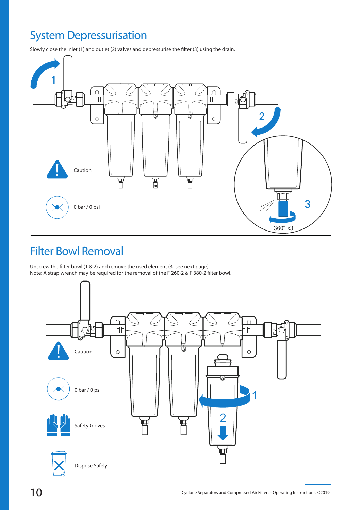# System Depressurisation

Slowly close the inlet (1) and outlet (2) valves and depressurise the filter (3) using the drain.



### Filter Bowl Removal

Unscrew the filter bowl (1 & 2) and remove the used element (3- see next page). Note: A strap wrench may be required for the removal of the F 260-2 & F 380-2 filter bowl.

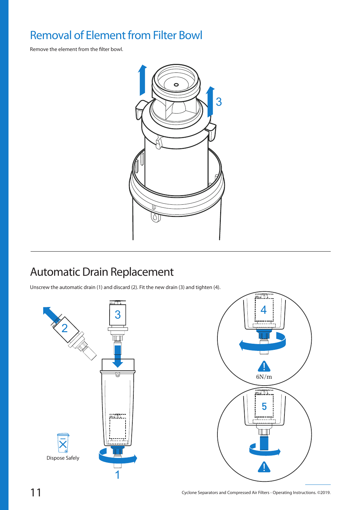# Removal of Element from Filter Bowl

Remove the element from the filter bowl.



# Automatic Drain Replacement

Unscrew the automatic drain (1) and discard (2). Fit the new drain (3) and tighten (4).



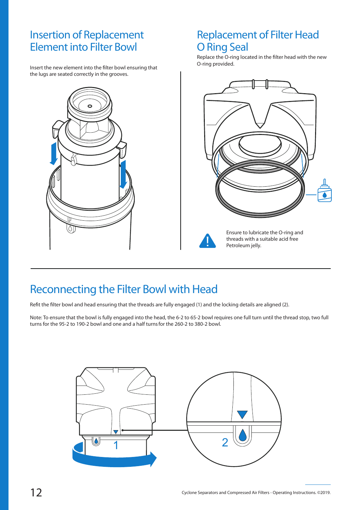### Insertion of Replacement Element into Filter Bowl

Insert the new element into the filter bowl ensuring that the lugs are seated correctly in the grooves.



### Replacement of Filter Head O Ring Seal

Replace the O-ring located in the filter head with the new O-ring provided.





Ensure to lubricate the O-ring and threads with a suitable acid free Petroleum jelly.

### Reconnecting the Filter Bowl with Head

Refit the filter bowl and head ensuring that the threads are fully engaged (1) and the locking details are aligned (2).

Note: To ensure that the bowl is fully engaged into the head, the 6-2 to 65-2 bowl requires one full turn until the thread stop, two full turns for the 95-2 to 190-2 bowl and one and a half turnsfor the 260-2 to 380-2 bowl.

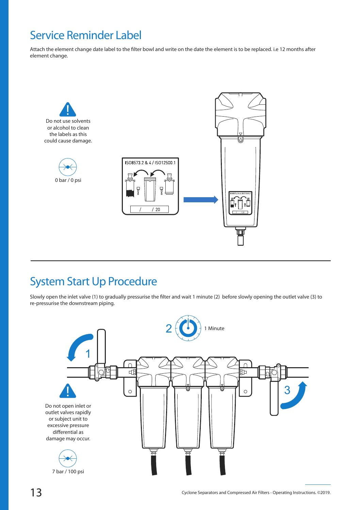## Service Reminder Label

Attach the element change date label to the filter bowl and write on the date the element is to be replaced. i.e 12 months after element change.



## System Start Up Procedure

Slowly open the inlet valve (1) to gradually pressurise the filter and wait 1 minute (2) before slowly opening the outlet valve (3) to re-pressurise the downstream piping.

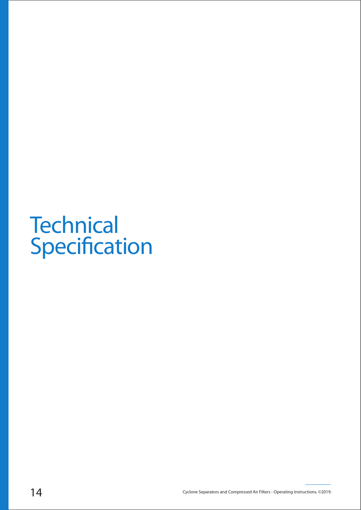# **Technical** Specification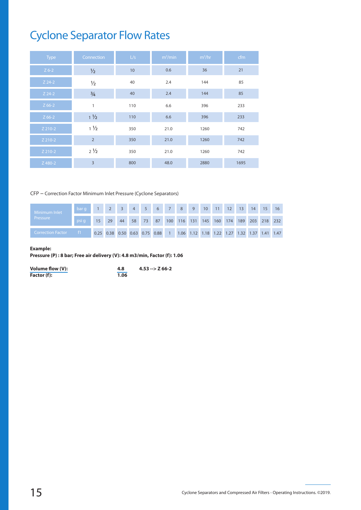# Cyclone Separator Flow Rates

| <b>Type</b> | Connection     | L/s | m <sup>3</sup> /min | $m^3/hr$ | cfm  |
|-------------|----------------|-----|---------------------|----------|------|
| $Z$ 6-2     | $\frac{1}{2}$  | 10  | 0.6                 | 36       | 21   |
| $Z$ 24-2    | $\frac{1}{2}$  | 40  | 2.4                 | 144      | 85   |
| $Z$ 24-2    | $\frac{3}{4}$  | 40  | 2.4                 | 144      | 85   |
| $Z$ 66-2    | 1              | 110 | 6.6                 | 396      | 233  |
| $Z$ 66-2    | $1\frac{1}{2}$ | 110 | 6.6                 | 396      | 233  |
| Z 210-2     | $1\frac{1}{2}$ | 350 | 21.0                | 1260     | 742  |
| Z 210-2     | $\overline{2}$ | 350 | 21.0                | 1260     | 742  |
| Z 210-2     | $2\frac{1}{2}$ | 350 | 21.0                | 1260     | 742  |
| Z 480-2     | 3              | 800 | 48.0                | 2880     | 1695 |

#### CFP – Correction Factor Minimum Inlet Pressure (Cyclone Separators)

| Minimum Inlet            | bar g |                                                                              |    | 4 | 5 <sup>1</sup> | $6 \quad 7$ | $8 \t9$ |                                                     | 10 | 11 | 12 | 13 | 14 |  |
|--------------------------|-------|------------------------------------------------------------------------------|----|---|----------------|-------------|---------|-----------------------------------------------------|----|----|----|----|----|--|
| Pressure                 | psi a | 15 <sup>1</sup>                                                              | 29 |   |                |             |         | 44 58 73 87 100 116 131 145 160 174 189 203 218 232 |    |    |    |    |    |  |
| <b>Correction Factor</b> | $-f1$ | 0.25 0.38 0.50 0.63 0.75 0.88 1 1.06 1.12 1.18 1.22 1.27 1.32 1.37 1.41 1.47 |    |   |                |             |         |                                                     |    |    |    |    |    |  |

#### **Example:**

**Pressure (P) : 8 bar; Free air delivery (V): 4.8 m3/min, Factor (f): 1.06**

| Volume flow (V): | 4.8  | $4.53 - 266 - 2$ |
|------------------|------|------------------|
| Factor (f):      | 1.06 |                  |

4.00 2.63 2.00 1.59 1.33 1.14 1.00 0.94 0.89 0.85 0.82 0.79 0.76 0.73 0.71 0.68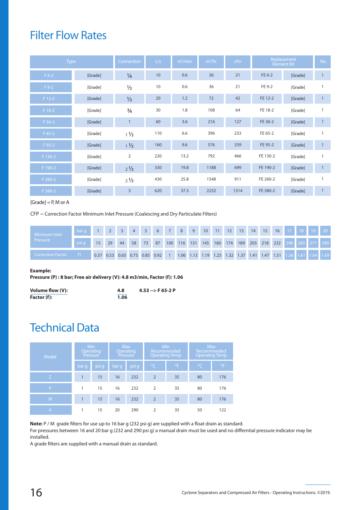### Filter Flow Rates

| <b>Type</b> |         | Connection     | L/s | $m^3/m$ in | $m^3/hr$ | cfm  |          | Replacement<br>Element Kit | No.          |
|-------------|---------|----------------|-----|------------|----------|------|----------|----------------------------|--------------|
| $F6-2$      | [Grade] | $\frac{1}{4}$  | 10  | 0.6        | 36       | 21   | FE 6-2   | [Grade]                    |              |
| $F9-2$      | [Grade] | $\frac{1}{2}$  | 10  | 0.6        | 36       | 21   | FE 9-2   | [Grade]                    |              |
| $F12-2$     | [Grade] | $\frac{1}{2}$  | 20  | 1.2        | 72       | 42   | FE 12-2  | [Grade]                    |              |
| F 18-2      | [Grade] | $\frac{3}{4}$  | 30  | 1.8        | 108      | 64   | FE 18-2  | [Grade]                    |              |
| $F36-2$     | [Grade] |                | 60  | 3.6        | 216      | 127  | FE 36-2  | [Grade]                    | 1            |
| $F 65-2$    | [Grade] | $1\frac{1}{2}$ | 110 | 6.6        | 396      | 233  | FE 65-2  | [Grade]                    | $\mathbf{1}$ |
| F 95-2      | [Grade] | $1\frac{1}{2}$ | 160 | 9.6        | 576      | 339  | FE 95-2  | [Grade]                    | $\mathbf{1}$ |
| F 130-2     | [Grade] | $\overline{2}$ | 220 | 13.2       | 792      | 466  | FE 130-2 | [Grade]                    | $\mathbf{1}$ |
| F 190-2     | [Grade] | $2\frac{1}{2}$ | 330 | 19.8       | 1188     | 699  | FE 190-2 | [Grade]                    | $\mathbf{1}$ |
| F 260-2     | [Grade] | $2\frac{1}{2}$ | 430 | 25.8       | 1548     | 911  | FE 260-2 | [Grade]                    | $\mathbf{1}$ |
| F 380-2     | [Grade] | $\overline{3}$ | 620 | 37.3       | 2232     | 1314 | FE 380-2 | [Grade]                    | $\mathbf{1}$ |

 $[Grade] = P$ , M or A

CFP – Correction Factor Minimum Inlet Pressure (Coalescing and Dry Particulate Filters)

| Minimum Inlet       | -bar g |      |                            | $-3$ |    | $4 \quad 5$ |    | 6 7 8 9 10 11 |         |         |  |         | 12 13 | 14 | 15 | 16 | 17 <sup>1</sup>                                             | 18 | 19 <sup>°</sup> | 20 <sup>°</sup> |
|---------------------|--------|------|----------------------------|------|----|-------------|----|---------------|---------|---------|--|---------|-------|----|----|----|-------------------------------------------------------------|----|-----------------|-----------------|
| Pressure'           |        | 15   | 29                         | 44   | 58 | 73          | 87 |               | 100 116 | 131 145 |  | 160 174 |       |    |    |    | 189 203 218 232 248 263 277 290                             |    |                 |                 |
| ' Correction Factor |        | 0.37 | 0.53 0.65 0.75 0.85 0.92 1 |      |    |             |    |               |         |         |  |         |       |    |    |    | 1.06 1.13 1.19 1.25 1.32 1.37 1.41 1.47 1.51 1.56 1.61 1.64 |    |                 | 1.69            |

#### **Example:**

**Pressure (P) : 8 bar; Free air delivery (V): 4.8 m3/min, Factor (f): 1.06**

| Volume flow (V): | 4.8  | $4.53 - > F 65 - 2 P$ |
|------------------|------|-----------------------|
| Factor (f):      | 1.06 |                       |

### Technical Data

| <b>Model</b> | Min   | <b>Operating</b><br>Pressure |       | <b>Max</b><br>Operating<br>Pressure |                | Min<br>Recommended<br><b>Operating Temp</b> | <b>Max</b><br>Recommended<br>Operating Temp |              |  |  |
|--------------|-------|------------------------------|-------|-------------------------------------|----------------|---------------------------------------------|---------------------------------------------|--------------|--|--|
|              | bar q | psi q                        | bar q | psi g                               | <sup>oC</sup>  | $^{\circ}$ F                                | $\overline{C}$                              | $^{\circ}$ F |  |  |
| Z            |       | 15                           | 16    | 232                                 | $\overline{2}$ | 35                                          | 80                                          | 176          |  |  |
| P            |       | 15                           | 16    | 232                                 | $\overline{2}$ | 35                                          | 80                                          | 176          |  |  |
| M            | 1     | 15                           | 16    | 232                                 | $\overline{2}$ | 35                                          | 80                                          | 176          |  |  |
| IA.          |       | 15                           | 20    | 290                                 | $\overline{2}$ | 35                                          | 50                                          | 122          |  |  |

Note: P / M grade filters for use up to 16 bar g (232 psi g) are supplied with a float drain as standard.

For pressures between 16 and 20 bar g (232 and 290 psi g) a manual drain must be used and no differntial pressure indicator may be installed.

A grade filters are supplied with a manual drain as standard.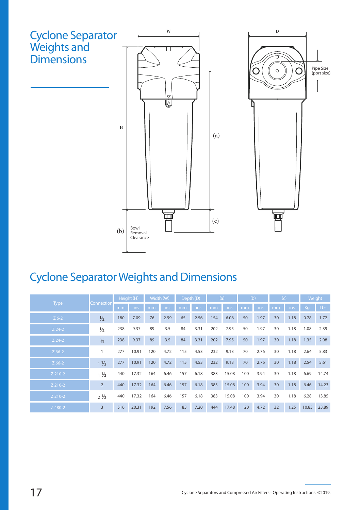

# Cyclone Separator Weights and Dimensions

|             |                |     | Height (H) |     | Width (W) |     | Depth (D) |     | (a)   |     | (b)  | (c) |      | Weight |       |
|-------------|----------------|-----|------------|-----|-----------|-----|-----------|-----|-------|-----|------|-----|------|--------|-------|
| <b>Type</b> | Connection     | mm  | ins        | mm  | ins       | mm  | ins       | mm  | ins   | mm  | ins  | mm  | ins  | Kg     | Lbs   |
| $Z$ 6-2     | $\frac{1}{2}$  | 180 | 7.09       | 76  | 2.99      | 65  | 2.56      | 154 | 6.06  | 50  | 1.97 | 30  | 1.18 | 0.78   | 1.72  |
| $Z$ 24-2    | $\frac{1}{2}$  | 238 | 9.37       | 89  | 3.5       | 84  | 3.31      | 202 | 7.95  | 50  | 1.97 | 30  | 1.18 | 1.08   | 2.39  |
| $Z$ 24-2    | $\frac{3}{4}$  | 238 | 9.37       | 89  | 3.5       | 84  | 3.31      | 202 | 7.95  | 50  | 1.97 | 30  | 1.18 | 1.35   | 2.98  |
| $Z$ 66-2    |                | 277 | 10.91      | 120 | 4.72      | 115 | 4.53      | 232 | 9.13  | 70  | 2.76 | 30  | 1.18 | 2.64   | 5.83  |
| $Z$ 66-2    | $1\frac{1}{2}$ | 277 | 10.91      | 120 | 4.72      | 115 | 4.53      | 232 | 9.13  | 70  | 2.76 | 30  | 1.18 | 2.54   | 5.61  |
| Z 210-2     | $1\frac{1}{2}$ | 440 | 17.32      | 164 | 6.46      | 157 | 6.18      | 383 | 15.08 | 100 | 3.94 | 30  | 1.18 | 6.69   | 14.74 |
| Z 210-2     | $\overline{2}$ | 440 | 17.32      | 164 | 6.46      | 157 | 6.18      | 383 | 15.08 | 100 | 3.94 | 30  | 1.18 | 6.46   | 14.23 |
| Z 210-2     | $2\frac{1}{2}$ | 440 | 17.32      | 164 | 6.46      | 157 | 6.18      | 383 | 15.08 | 100 | 3.94 | 30  | 1.18 | 6.28   | 13.85 |
| Z 480-2     | $\overline{3}$ | 516 | 20.31      | 192 | 7.56      | 183 | 7.20      | 444 | 17.48 | 120 | 4.72 | 32  | 1.25 | 10.83  | 23.89 |

<sup>17</sup> Cyclone Separators and Compressed Air Filters - Operating Instructions. ©2019.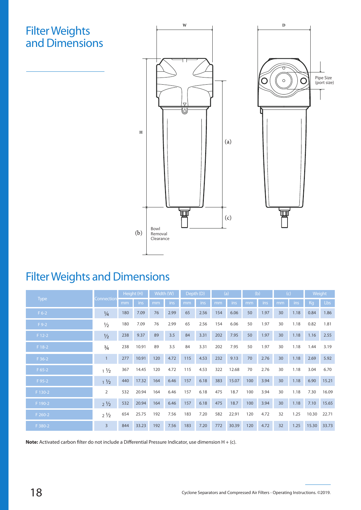### Filter Weights and Dimensions





# Filter Weights and Dimensions

|             |                |     | Height (H) | Width (W) |      | Depth (D) |      |     | (a)   | (b) |      | (c) |      | Weight |       |
|-------------|----------------|-----|------------|-----------|------|-----------|------|-----|-------|-----|------|-----|------|--------|-------|
| <b>Type</b> | Connection     | mm  | ins        | mm        | ins  | mm        | ins  | mm  | ins   | mm  | ins  | mm  | ins  | Kg     | Lbs   |
| $F$ 6-2     | $\frac{1}{4}$  | 180 | 7.09       | 76        | 2.99 | 65        | 2.56 | 154 | 6.06  | 50  | 1.97 | 30  | 1.18 | 0.84   | 1.86  |
| $F9-2$      | $\frac{1}{2}$  | 180 | 7.09       | 76        | 2.99 | 65        | 2.56 | 154 | 6.06  | 50  | 1.97 | 30  | 1.18 | 0.82   | 1.81  |
| $F12-2$     | $\frac{1}{2}$  | 238 | 9.37       | 89        | 3.5  | 84        | 3.31 | 202 | 7.95  | 50  | 1.97 | 30  | 1.18 | 1.16   | 2.55  |
| $F18-2$     | $\frac{3}{4}$  | 238 | 10.91      | 89        | 3.5  | 84        | 3.31 | 202 | 7.95  | 50  | 1.97 | 30  | 1.18 | 1.44   | 3.19  |
| $F36-2$     | $\mathbf{1}$   | 277 | 10.91      | 120       | 4.72 | 115       | 4.53 | 232 | 9.13  | 70  | 2.76 | 30  | 1.18 | 2.69   | 5.92  |
| $F 65-2$    | $1\frac{1}{2}$ | 367 | 14.45      | 120       | 4.72 | 115       | 4.53 | 322 | 12.68 | 70  | 2.76 | 30  | 1.18 | 3.04   | 6.70  |
| F 95-2      | $1\frac{1}{2}$ | 440 | 17.32      | 164       | 6.46 | 157       | 6.18 | 383 | 15.07 | 100 | 3.94 | 30  | 1.18 | 6.90   | 15.21 |
| F 130-2     | $\overline{2}$ | 532 | 20.94      | 164       | 6.46 | 157       | 6.18 | 475 | 18.7  | 100 | 3.94 | 30  | 1.18 | 7.30   | 16.09 |
| F 190-2     | $2\frac{1}{2}$ | 532 | 20.94      | 164       | 6.46 | 157       | 6.18 | 475 | 18.7  | 100 | 3.94 | 30  | 1.18 | 7.10   | 15.65 |
| F 260-2     | $2\frac{1}{2}$ | 654 | 25.75      | 192       | 7.56 | 183       | 7.20 | 582 | 22.91 | 120 | 4.72 | 32  | 1.25 | 10.30  | 22.71 |
| F 380-2     | $\overline{3}$ | 844 | 33.23      | 192       | 7.56 | 183       | 7.20 | 772 | 30.39 | 120 | 4.72 | 32  | 1.25 | 15.30  | 33.73 |

**Note:** Activated carbon filter do not include a Differential Pressure Indicator, use dimension H + (c).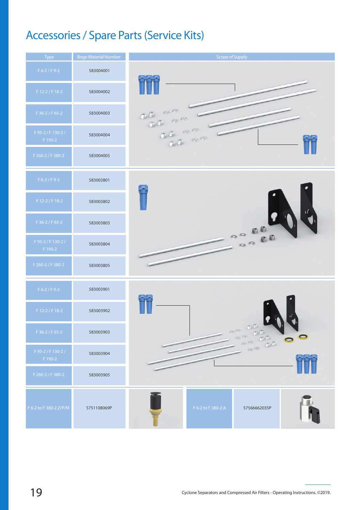# Accessories / Spare Parts (Service Kits)



<sup>19</sup> Cyclone Separators and Compressed Air Filters - Operating Instructions. ©2019.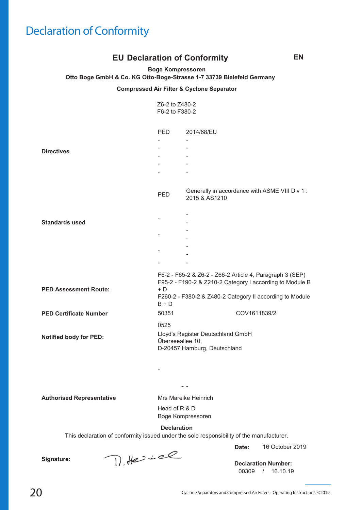# Declaration of Conformity

#### **EU** Declaration of Conformity **EN**

**Boge Kompressoren**

**Otto Boge GmbH & Co. KG Otto-Boge-Strasse 1-7 33739 Bielefeld Germany**

**Compressed Air Filter & Cyclone Separator**

|                               | Z6-2 to Z480-2<br>F6-2 to F380-2                                                              |                                                                                                                      |  |  |  |  |  |
|-------------------------------|-----------------------------------------------------------------------------------------------|----------------------------------------------------------------------------------------------------------------------|--|--|--|--|--|
|                               | PED                                                                                           | 2014/68/EU                                                                                                           |  |  |  |  |  |
|                               |                                                                                               |                                                                                                                      |  |  |  |  |  |
| <b>Directives</b>             |                                                                                               |                                                                                                                      |  |  |  |  |  |
|                               |                                                                                               |                                                                                                                      |  |  |  |  |  |
|                               |                                                                                               |                                                                                                                      |  |  |  |  |  |
|                               |                                                                                               |                                                                                                                      |  |  |  |  |  |
|                               | <b>PED</b>                                                                                    | Generally in accordance with ASME VIII Div 1 :<br>2015 & AS1210                                                      |  |  |  |  |  |
|                               |                                                                                               |                                                                                                                      |  |  |  |  |  |
| <b>Standards used</b>         |                                                                                               |                                                                                                                      |  |  |  |  |  |
|                               |                                                                                               |                                                                                                                      |  |  |  |  |  |
|                               |                                                                                               |                                                                                                                      |  |  |  |  |  |
|                               |                                                                                               |                                                                                                                      |  |  |  |  |  |
|                               |                                                                                               |                                                                                                                      |  |  |  |  |  |
|                               |                                                                                               |                                                                                                                      |  |  |  |  |  |
| <b>PED Assessment Route:</b>  | $+ D$                                                                                         | F6-2 - F65-2 & Z6-2 - Z66-2 Article 4, Paragraph 3 (SEP)<br>F95-2 - F190-2 & Z210-2 Category I according to Module B |  |  |  |  |  |
|                               | $B + D$                                                                                       | F260-2 - F380-2 & Z480-2 Category II according to Module                                                             |  |  |  |  |  |
| <b>PED Certificate Number</b> | 50351                                                                                         | COV1611839/2                                                                                                         |  |  |  |  |  |
| <b>Notified body for PED:</b> | 0525<br>Lloyd's Register Deutschland GmbH<br>Überseeallee 10,<br>D-20457 Hamburg, Deutschland |                                                                                                                      |  |  |  |  |  |

**Authorised Representative**

Mrs Mareike Heinrich Boge Kompressoren Head of R & D

- -

-

This declaration of conformity issued under the sole responsibility of the manufacturer. **Declaration**

> 16 October 2019 **Date:**

**Signature:**

D.Herice

00309 / 16.10.19 **Declaration Number:**